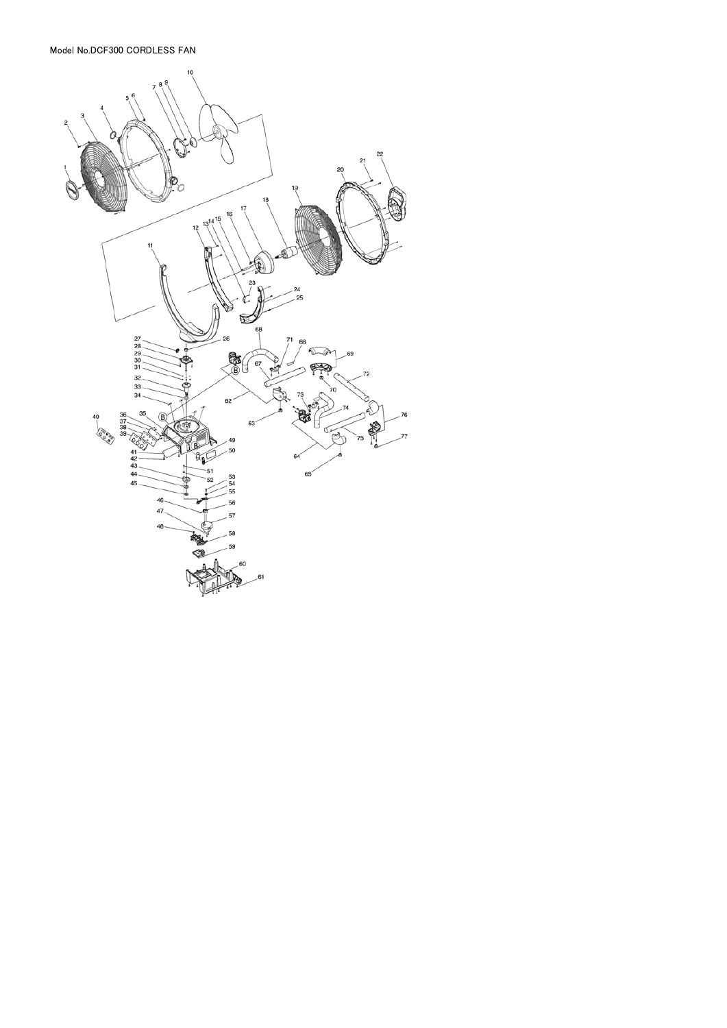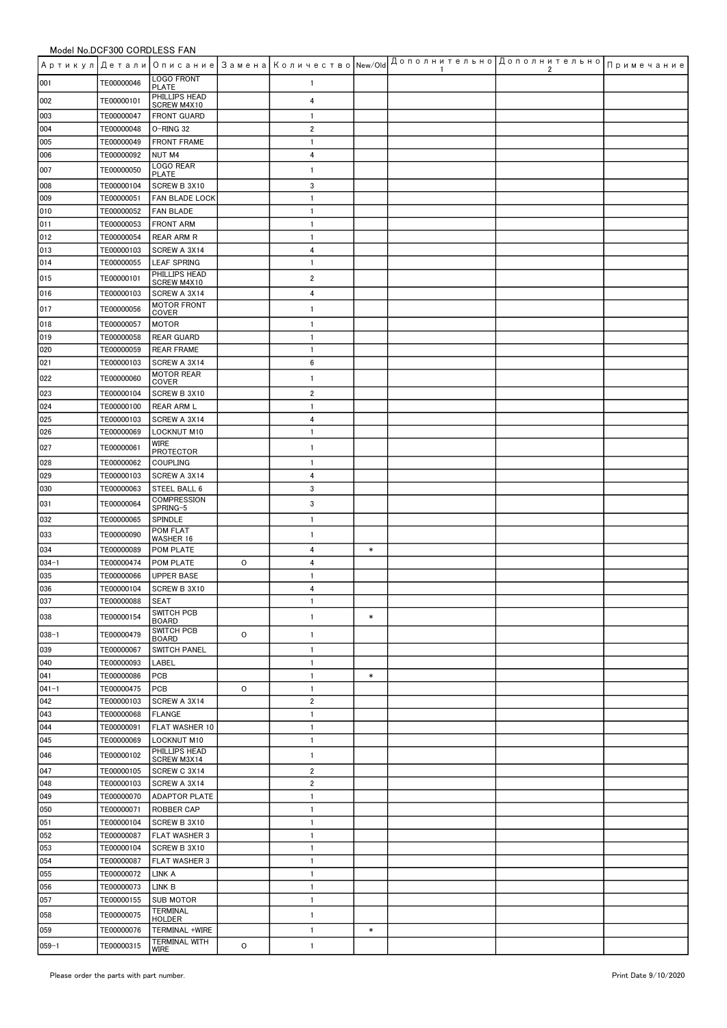|                  |                          |                                      |   |                                |        | -1 | Артикул Детали Описание Замена Количество New/Old <sup>Дополнительно</sup> Дополнительно <sub>Примечание</sub><br>2 |  |
|------------------|--------------------------|--------------------------------------|---|--------------------------------|--------|----|---------------------------------------------------------------------------------------------------------------------|--|
| 001              | TE00000046               | <b>LOGO FRONT</b><br><b>PLATE</b>    |   | 1                              |        |    |                                                                                                                     |  |
| 002              | TE00000101               | PHILLIPS HEAD<br>SCREW M4X10         |   | 4                              |        |    |                                                                                                                     |  |
| 003              | TE00000047               | <b>FRONT GUARD</b>                   |   | 1                              |        |    |                                                                                                                     |  |
| 004              | TE00000048               | O-RING 32                            |   | 2                              |        |    |                                                                                                                     |  |
| 005<br>006       | TE00000049<br>TE00000092 | <b>FRONT FRAME</b><br>NUT M4         |   | $\mathbf{1}$<br>4              |        |    |                                                                                                                     |  |
| 007              | TE00000050               | LOGO REAR                            |   | $\mathbf{1}$                   |        |    |                                                                                                                     |  |
| 008              | TE00000104               | <b>PLATE</b><br>SCREW B 3X10         |   | 3                              |        |    |                                                                                                                     |  |
| 009              | TE00000051               | FAN BLADE LOCK                       |   | $\mathbf{1}$                   |        |    |                                                                                                                     |  |
| 010              | TE00000052               | <b>FAN BLADE</b>                     |   | 1                              |        |    |                                                                                                                     |  |
| 011              | TE00000053               | <b>FRONT ARM</b>                     |   | 1                              |        |    |                                                                                                                     |  |
| 012<br>013       | TE00000054<br>TE00000103 | <b>REAR ARM R</b><br>SCREW A 3X14    |   | 1<br>4                         |        |    |                                                                                                                     |  |
| 014              | TE00000055               | <b>LEAF SPRING</b>                   |   | 1                              |        |    |                                                                                                                     |  |
| 015              | TE00000101               | PHILLIPS HEAD<br>SCREW M4X10         |   | 2                              |        |    |                                                                                                                     |  |
| 016              | TE00000103               | SCREW A 3X14                         |   | 4                              |        |    |                                                                                                                     |  |
| 017              | TE00000056               | <b>MOTOR FRONT</b><br>COVER          |   | $\mathbf{1}$                   |        |    |                                                                                                                     |  |
| 018              | TE00000057               | <b>MOTOR</b>                         |   | $\mathbf{1}$                   |        |    |                                                                                                                     |  |
| 019              | TE00000058               | <b>REAR GUARD</b>                    |   | $\mathbf{1}$                   |        |    |                                                                                                                     |  |
| 020              | TE00000059               | <b>REAR FRAME</b>                    |   | $\mathbf{1}$                   |        |    |                                                                                                                     |  |
| 021              | TE00000103               | SCREW A 3X14<br><b>MOTOR REAR</b>    |   | 6                              |        |    |                                                                                                                     |  |
| 022              | TE00000060               | COVER                                |   | $\mathbf{1}$                   |        |    |                                                                                                                     |  |
| 023<br>024       | TE00000104<br>TE00000100 | SCREW B 3X10<br><b>REAR ARM L</b>    |   | $\overline{2}$<br>$\mathbf{1}$ |        |    |                                                                                                                     |  |
| 025              | TE00000103               | SCREW A 3X14                         |   | 4                              |        |    |                                                                                                                     |  |
| 026              | TE00000069               | <b>LOCKNUT M10</b>                   |   | $\mathbf{1}$                   |        |    |                                                                                                                     |  |
| 027              | TE00000061               | WIRE<br>PROTECTOR                    |   | 1                              |        |    |                                                                                                                     |  |
| 028              | TE00000062               | <b>COUPLING</b>                      |   | $\mathbf{1}$                   |        |    |                                                                                                                     |  |
| 029              | TE00000103               | SCREW A 3X14                         |   | 4                              |        |    |                                                                                                                     |  |
| 030              | TE00000063<br>TE00000064 | STEEL BALL 6<br><b>COMPRESSION</b>   |   | 3<br>3                         |        |    |                                                                                                                     |  |
| 031<br>032       | TE00000065               | SPRING-5<br>SPINDLE                  |   | $\mathbf{1}$                   |        |    |                                                                                                                     |  |
| 033              | TE00000090               | POM FLAT<br><b>WASHER 16</b>         |   | $\mathbf{1}$                   |        |    |                                                                                                                     |  |
| 034              | TE00000089               | POM PLATE                            |   | 4                              | $\ast$ |    |                                                                                                                     |  |
| $034 - 1$        | TE00000474               | POM PLATE                            | 0 | 4                              |        |    |                                                                                                                     |  |
| 035              | TE00000066               | <b>UPPER BASE</b>                    |   | 1                              |        |    |                                                                                                                     |  |
| 036<br>037       | TE00000104<br>TE00000088 | SCREW B 3X10<br>SEAT                 |   | 4<br>1                         |        |    |                                                                                                                     |  |
| 038              | TE00000154               | SWITCH PCB                           |   | $\mathbf{1}$                   | $\ast$ |    |                                                                                                                     |  |
| $038 - 1$        | TE00000479               | <b>BOARD</b><br>SWITCH PCB           | 0 | $\mathbf{1}$                   |        |    |                                                                                                                     |  |
| 039              | TE00000067               | <b>BOARD</b><br><b>SWITCH PANEL</b>  |   | $\mathbf{1}$                   |        |    |                                                                                                                     |  |
| 040              | TE00000093               | LABEL                                |   | $\mathbf{1}$                   |        |    |                                                                                                                     |  |
| 041              | TE00000086               | PCB                                  |   | $\mathbf{1}$                   | $\ast$ |    |                                                                                                                     |  |
| $041 - 1$<br>042 | TE00000475<br>TE00000103 | PCB<br>SCREW A 3X14                  | 0 | $\mathbf{1}$<br>2              |        |    |                                                                                                                     |  |
| 043              | TE00000068               | <b>FLANGE</b>                        |   | $\mathbf{1}$                   |        |    |                                                                                                                     |  |
| 044              | TE00000091               | FLAT WASHER 10                       |   | 1                              |        |    |                                                                                                                     |  |
| 045              | TE00000069               | <b>LOCKNUT M10</b>                   |   | $\mathbf{1}$                   |        |    |                                                                                                                     |  |
| 046              | TE00000102               | PHILLIPS HEAD<br>SCREW M3X14         |   | 1                              |        |    |                                                                                                                     |  |
| 047              | TE00000105               | SCREW C 3X14                         |   | $\overline{2}$                 |        |    |                                                                                                                     |  |
| 048<br>049       | TE00000103<br>TE00000070 | SCREW A 3X14<br><b>ADAPTOR PLATE</b> |   | 2<br>$\mathbf{1}$              |        |    |                                                                                                                     |  |
| 050              | TE00000071               | <b>ROBBER CAP</b>                    |   | $\mathbf{1}$                   |        |    |                                                                                                                     |  |
| 051              | TE00000104               | SCREW B 3X10                         |   | 1                              |        |    |                                                                                                                     |  |
| 052              | TE00000087               | <b>FLAT WASHER 3</b>                 |   | $\mathbf{1}$                   |        |    |                                                                                                                     |  |
| 053              | TE00000104               | SCREW B 3X10                         |   | $\mathbf{1}$                   |        |    |                                                                                                                     |  |
| 054<br>055       | TE00000087<br>TE00000072 | <b>FLAT WASHER 3</b><br>LINK A       |   | 1<br>1                         |        |    |                                                                                                                     |  |
| 056              | TE00000073               | LINK B                               |   | $\mathbf{1}$                   |        |    |                                                                                                                     |  |
| 057              | TE00000155               | <b>SUB MOTOR</b>                     |   | 1                              |        |    |                                                                                                                     |  |
| 058              | TE00000075               | TERMINAL<br>HOLDER                   |   | 1                              |        |    |                                                                                                                     |  |
| 059              | TE00000076               | TERMINAL +WIRE                       |   | $\mathbf{1}$                   | $\ast$ |    |                                                                                                                     |  |
| $059 - 1$        | TE00000315               | <b>TERMINAL WITH</b><br>WIRE         | O | $\mathbf{1}$                   |        |    |                                                                                                                     |  |